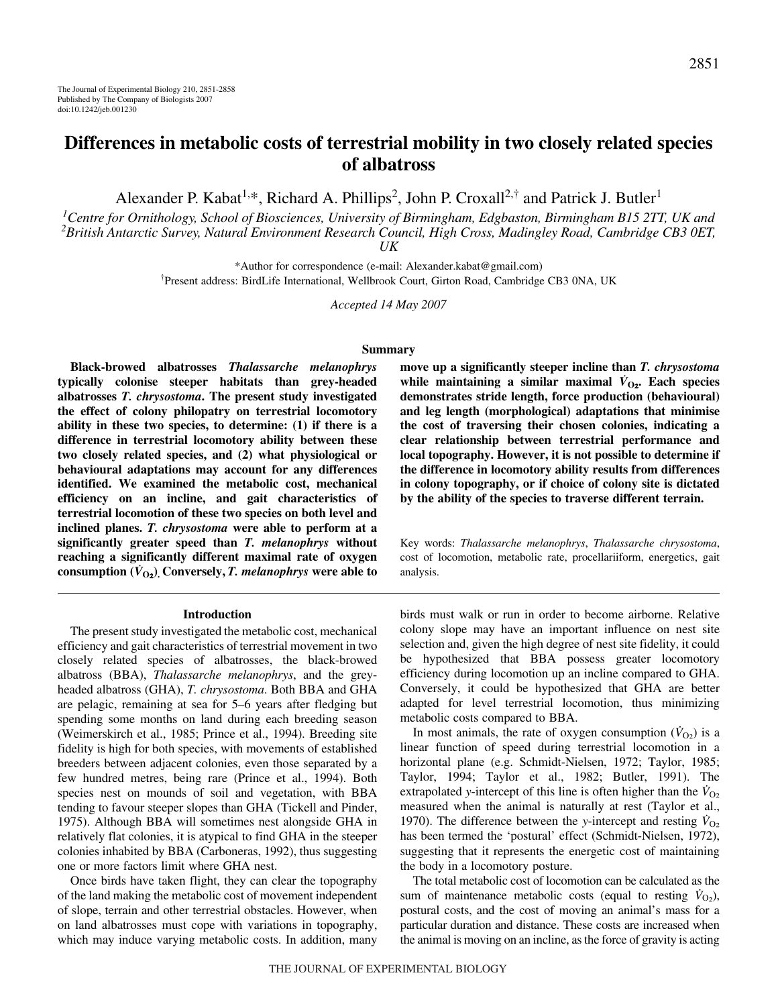# **Differences in metabolic costs of terrestrial mobility in two closely related species of albatross**

Alexander P. Kabat<sup>1,\*</sup>, Richard A. Phillips<sup>2</sup>, John P. Croxall<sup>2,†</sup> and Patrick J. Butler<sup>1</sup>

*1 Centre for Ornithology, School of Biosciences, University of Birmingham, Edgbaston, Birmingham B15 2TT, UK and 2 British Antarctic Survey, Natural Environment Research Council, High Cross, Madingley Road, Cambridge CB3 0ET, UK*

\*Author for correspondence (e-mail: Alexander.kabat@gmail.com) † Present address: BirdLife International, Wellbrook Court, Girton Road, Cambridge CB3 0NA, UK

*Accepted 14 May 2007*

#### **Summary**

**Black-browed albatrosses** *Thalassarche melanophrys* **typically colonise steeper habitats than grey-headed albatrosses** *T. chrysostoma***. The present study investigated the effect of colony philopatry on terrestrial locomotory ability in these two species, to determine: (1) if there is a difference in terrestrial locomotory ability between these two closely related species, and (2) what physiological or behavioural adaptations may account for any differences identified. We examined the metabolic cost, mechanical efficiency on an incline, and gait characteristics of terrestrial locomotion of these two species on both level and inclined planes.** *T. chrysostoma* **were able to perform at a significantly greater speed than** *T. melanophrys* **without reaching a significantly different maximal rate of oxygen** consumption  $(\dot{V}_{O_2})$ . Conversely, *T. melanophrys* were able to

#### **Introduction**

The present study investigated the metabolic cost, mechanical efficiency and gait characteristics of terrestrial movement in two closely related species of albatrosses, the black-browed albatross (BBA), *Thalassarche melanophrys*, and the greyheaded albatross (GHA), *T. chrysostoma*. Both BBA and GHA are pelagic, remaining at sea for 5–6 years after fledging but spending some months on land during each breeding season (Weimerskirch et al., 1985; Prince et al., 1994). Breeding site fidelity is high for both species, with movements of established breeders between adjacent colonies, even those separated by a few hundred metres, being rare (Prince et al., 1994). Both species nest on mounds of soil and vegetation, with BBA tending to favour steeper slopes than GHA (Tickell and Pinder, 1975). Although BBA will sometimes nest alongside GHA in relatively flat colonies, it is atypical to find GHA in the steeper colonies inhabited by BBA (Carboneras, 1992), thus suggesting one or more factors limit where GHA nest.

Once birds have taken flight, they can clear the topography of the land making the metabolic cost of movement independent of slope, terrain and other terrestrial obstacles. However, when on land albatrosses must cope with variations in topography, which may induce varying metabolic costs. In addition, many **move up a significantly steeper incline than** *T. chrysostoma* while maintaining a similar maximal  $V_{O_2}$ . Each species **demonstrates stride length, force production (behavioural) and leg length (morphological) adaptations that minimise the cost of traversing their chosen colonies, indicating a clear relationship between terrestrial performance and local topography. However, it is not possible to determine if the difference in locomotory ability results from differences in colony topography, or if choice of colony site is dictated by the ability of the species to traverse different terrain.**

Key words: *Thalassarche melanophrys*, *Thalassarche chrysostoma*, cost of locomotion, metabolic rate, procellariiform, energetics, gait analysis.

birds must walk or run in order to become airborne. Relative colony slope may have an important influence on nest site selection and, given the high degree of nest site fidelity, it could be hypothesized that BBA possess greater locomotory efficiency during locomotion up an incline compared to GHA. Conversely, it could be hypothesized that GHA are better adapted for level terrestrial locomotion, thus minimizing metabolic costs compared to BBA.

In most animals, the rate of oxygen consumption  $(\dot{V}_{O2})$  is a linear function of speed during terrestrial locomotion in a horizontal plane (e.g. Schmidt-Nielsen, 1972; Taylor, 1985; Taylor, 1994; Taylor et al., 1982; Butler, 1991). The extrapolated *y*-intercept of this line is often higher than the  $V_{O_2}$ measured when the animal is naturally at rest (Taylor et al., 1970). The difference between the *y*-intercept and resting  $V_{O_2}$ has been termed the 'postural' effect (Schmidt-Nielsen, 1972), suggesting that it represents the energetic cost of maintaining the body in a locomotory posture.

The total metabolic cost of locomotion can be calculated as the sum of maintenance metabolic costs (equal to resting  $\dot{V}_{\text{O}_2}$ ), postural costs, and the cost of moving an animal's mass for a particular duration and distance. These costs are increased when the animal is moving on an incline, as the force of gravity is acting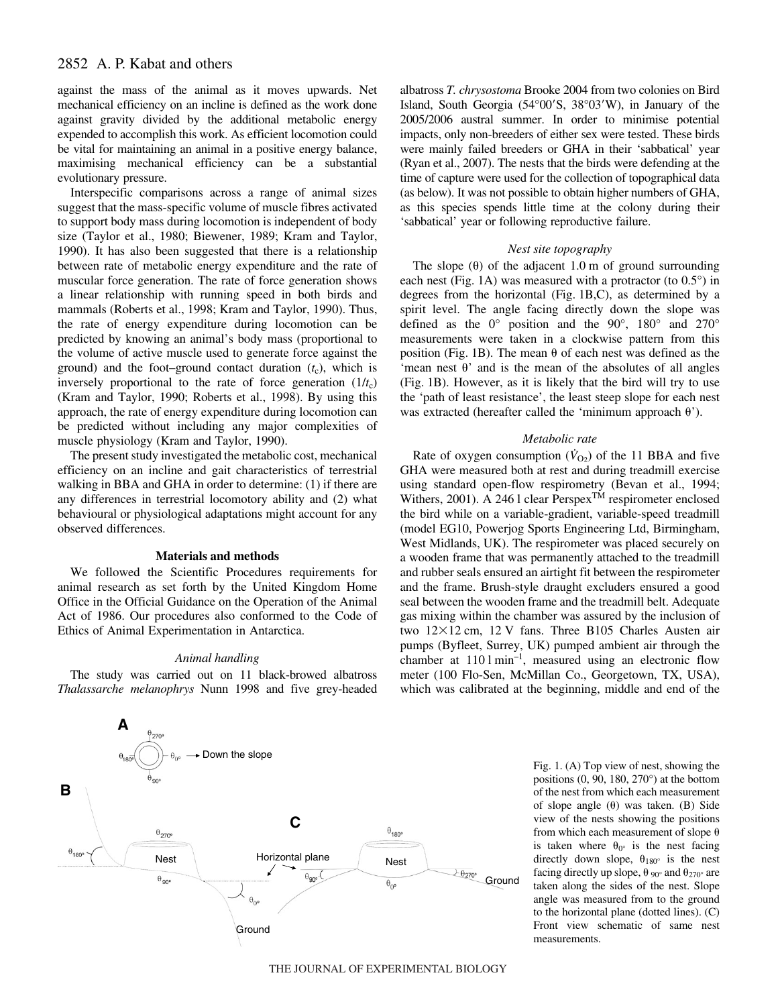against the mass of the animal as it moves upwards. Net mechanical efficiency on an incline is defined as the work done against gravity divided by the additional metabolic energy expended to accomplish this work. As efficient locomotion could be vital for maintaining an animal in a positive energy balance, maximising mechanical efficiency can be a substantial evolutionary pressure.

Interspecific comparisons across a range of animal sizes suggest that the mass-specific volume of muscle fibres activated to support body mass during locomotion is independent of body size (Taylor et al., 1980; Biewener, 1989; Kram and Taylor, 1990). It has also been suggested that there is a relationship between rate of metabolic energy expenditure and the rate of muscular force generation. The rate of force generation shows a linear relationship with running speed in both birds and mammals (Roberts et al., 1998; Kram and Taylor, 1990). Thus, the rate of energy expenditure during locomotion can be predicted by knowing an animal's body mass (proportional to the volume of active muscle used to generate force against the ground) and the foot–ground contact duration  $(t_c)$ , which is inversely proportional to the rate of force generation  $(1/t_c)$ (Kram and Taylor, 1990; Roberts et al., 1998). By using this approach, the rate of energy expenditure during locomotion can be predicted without including any major complexities of muscle physiology (Kram and Taylor, 1990).

The present study investigated the metabolic cost, mechanical efficiency on an incline and gait characteristics of terrestrial walking in BBA and GHA in order to determine: (1) if there are any differences in terrestrial locomotory ability and (2) what behavioural or physiological adaptations might account for any observed differences.

#### **Materials and methods**

We followed the Scientific Procedures requirements for animal research as set forth by the United Kingdom Home Office in the Official Guidance on the Operation of the Animal Act of 1986. Our procedures also conformed to the Code of Ethics of Animal Experimentation in Antarctica.

### *Animal handling*

The study was carried out on 11 black-browed albatross *Thalassarche melanophrys* Nunn 1998 and five grey-headed



albatross *T. chrysostoma* Brooke 2004 from two colonies on Bird Island, South Georgia (54°00'S, 38°03'W), in January of the 2005/2006 austral summer. In order to minimise potential impacts, only non-breeders of either sex were tested. These birds were mainly failed breeders or GHA in their 'sabbatical' year (Ryan et al., 2007). The nests that the birds were defending at the time of capture were used for the collection of topographical data (as below). It was not possible to obtain higher numbers of GHA, as this species spends little time at the colony during their 'sabbatical' year or following reproductive failure.

#### *Nest site topography*

The slope  $(\theta)$  of the adjacent 1.0 m of ground surrounding each nest (Fig. 1A) was measured with a protractor (to  $0.5^{\circ}$ ) in degrees from the horizontal (Fig.  $1B,C$ ), as determined by a spirit level. The angle facing directly down the slope was defined as the 0° position and the 90°, 180° and 270° measurements were taken in a clockwise pattern from this position (Fig. 1B). The mean  $\theta$  of each nest was defined as the 'mean nest  $\theta$ ' and is the mean of the absolutes of all angles (Fig. 1B). However, as it is likely that the bird will try to use the 'path of least resistance', the least steep slope for each nest was extracted (hereafter called the 'minimum approach  $\theta$ ').

### *Metabolic rate*

Rate of oxygen consumption  $(\dot{V}_{O_2})$  of the 11 BBA and five GHA were measured both at rest and during treadmill exercise using standard open-flow respirometry (Bevan et al., 1994; Withers, 2001). A 246 l clear Perspex<sup>TM</sup> respirometer enclosed the bird while on a variable-gradient, variable-speed treadmill (model EG10, Powerjog Sports Engineering Ltd, Birmingham, West Midlands, UK). The respirometer was placed securely on a wooden frame that was permanently attached to the treadmill and rubber seals ensured an airtight fit between the respirometer and the frame. Brush-style draught excluders ensured a good seal between the wooden frame and the treadmill belt. Adequate gas mixing within the chamber was assured by the inclusion of two  $12\times12$  cm,  $12$  V fans. Three B105 Charles Austen air pumps (Byfleet, Surrey, UK) pumped ambient air through the chamber at  $110 \text{ l min}^{-1}$ , measured using an electronic flow meter (100 Flo-Sen, McMillan Co., Georgetown, TX, USA), which was calibrated at the beginning, middle and end of the

> Fig. 1. (A) Top view of nest, showing the positions (0, 90, 180, 270°) at the bottom of the nest from which each measurement of slope angle  $(\theta)$  was taken. (B) Side view of the nests showing the positions from which each measurement of slope  $\theta$ is taken where  $\theta_{0}$  is the nest facing directly down slope,  $\theta_{180^\circ}$  is the nest facing directly up slope,  $\theta_{90^\circ}$  and  $\theta_{270^\circ}$  are taken along the sides of the nest. Slope angle was measured from to the ground to the horizontal plane (dotted lines). (C) Front view schematic of same nest measurements.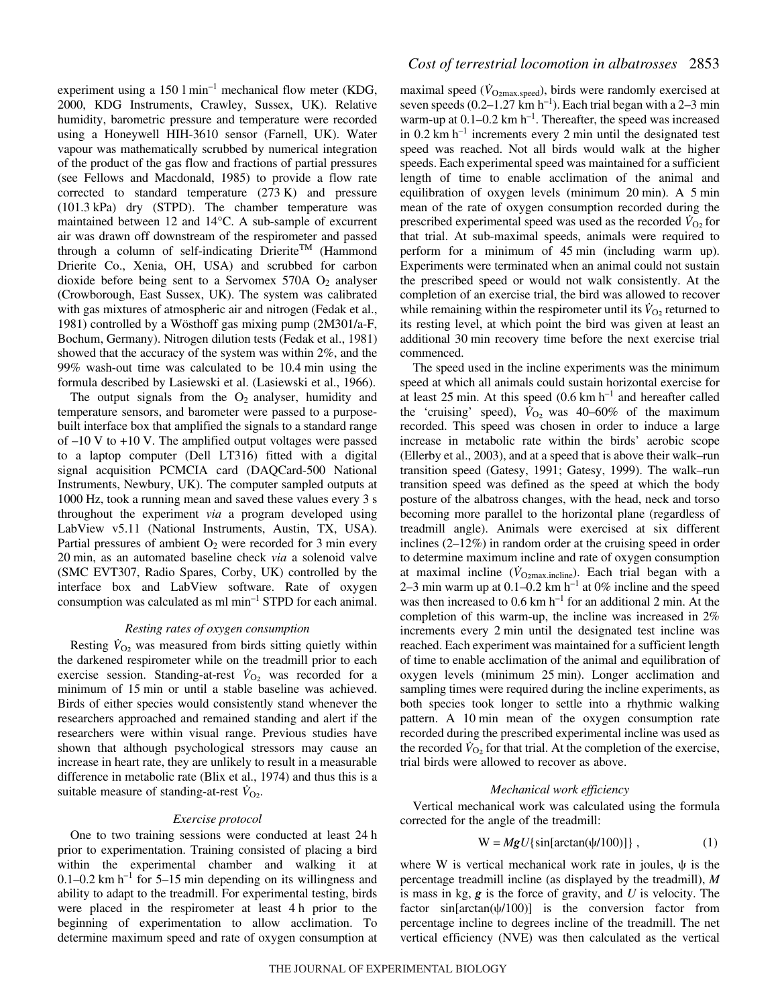experiment using a 150  $1 \text{min}^{-1}$  mechanical flow meter (KDG, 2000, KDG Instruments, Crawley, Sussex, UK). Relative humidity, barometric pressure and temperature were recorded using a Honeywell HIH-3610 sensor (Farnell, UK). Water vapour was mathematically scrubbed by numerical integration of the product of the gas flow and fractions of partial pressures (see Fellows and Macdonald, 1985) to provide a flow rate corrected to standard temperature  $(273 K)$  and pressure (101.3·kPa) dry (STPD). The chamber temperature was maintained between 12 and 14°C. A sub-sample of excurrent air was drawn off downstream of the respirometer and passed through a column of self-indicating Drierite<sup>TM</sup> (Hammond Drierite Co., Xenia, OH, USA) and scrubbed for carbon dioxide before being sent to a Servomex  $570A O<sub>2</sub>$  analyser (Crowborough, East Sussex, UK). The system was calibrated with gas mixtures of atmospheric air and nitrogen (Fedak et al., 1981) controlled by a Wösthoff gas mixing pump (2M301/a-F, Bochum, Germany). Nitrogen dilution tests (Fedak et al., 1981) showed that the accuracy of the system was within 2%, and the  $99\%$  wash-out time was calculated to be 10.4 min using the formula described by Lasiewski et al. (Lasiewski et al., 1966).

The output signals from the  $O_2$  analyser, humidity and temperature sensors, and barometer were passed to a purposebuilt interface box that amplified the signals to a standard range of  $-10$  V to  $+10$  V. The amplified output voltages were passed to a laptop computer (Dell LT316) fitted with a digital signal acquisition PCMCIA card (DAQCard-500 National Instruments, Newbury, UK). The computer sampled outputs at 1000 Hz, took a running mean and saved these values every 3 s throughout the experiment *via* a program developed using LabView v5.11 (National Instruments, Austin, TX, USA). Partial pressures of ambient  $O_2$  were recorded for 3 min every 20 min, as an automated baseline check *via* a solenoid valve (SMC EVT307, Radio Spares, Corby, UK) controlled by the interface box and LabView software. Rate of oxygen consumption was calculated as ml  $min^{-1}$  STPD for each animal.

### *Resting rates of oxygen consumption*

Resting  $\dot{V}_{\text{O}_2}$  was measured from birds sitting quietly within the darkened respirometer while on the treadmill prior to each exercise session. Standing-at-rest  $V_{\text{O}_2}$  was recorded for a minimum of 15 min or until a stable baseline was achieved. Birds of either species would consistently stand whenever the researchers approached and remained standing and alert if the researchers were within visual range. Previous studies have shown that although psychological stressors may cause an increase in heart rate, they are unlikely to result in a measurable difference in metabolic rate (Blix et al., 1974) and thus this is a suitable measure of standing-at-rest  $\dot{V}_{\text{O}_2}$ .

# *Exercise protocol*

One to two training sessions were conducted at least 24 h prior to experimentation. Training consisted of placing a bird within the experimental chamber and walking it at 0.1–0.2 km  $h^{-1}$  for 5–15 min depending on its willingness and ability to adapt to the treadmill. For experimental testing, birds were placed in the respirometer at least 4 h prior to the beginning of experimentation to allow acclimation. To determine maximum speed and rate of oxygen consumption at maximal speed  $(\dot{V}_{O2\text{max.speed}})$ , birds were randomly exercised at seven speeds  $(0.2-1.27 \text{ km h}^{-1})$ . Each trial began with a 2–3 min warm-up at  $0.1$ – $0.2 \text{ km h}^{-1}$ . Thereafter, the speed was increased in 0.2 km  $h^{-1}$  increments every 2 min until the designated test speed was reached. Not all birds would walk at the higher speeds. Each experimental speed was maintained for a sufficient length of time to enable acclimation of the animal and equilibration of oxygen levels (minimum  $20 \text{ min}$ ). A 5 min mean of the rate of oxygen consumption recorded during the prescribed experimental speed was used as the recorded  $\dot{V}_{O_2}$  for that trial. At sub-maximal speeds, animals were required to perform for a minimum of 45 min (including warm up). Experiments were terminated when an animal could not sustain the prescribed speed or would not walk consistently. At the completion of an exercise trial, the bird was allowed to recover while remaining within the respirometer until its  $\dot{V}_{\text{O}_2}$  returned to its resting level, at which point the bird was given at least an additional 30 min recovery time before the next exercise trial commenced.

The speed used in the incline experiments was the minimum speed at which all animals could sustain horizontal exercise for at least 25 min. At this speed  $(0.6 \text{ km h}^{-1})$  and hereafter called the 'cruising' speed),  $\dot{V}_{O_2}$  was 40–60% of the maximum recorded. This speed was chosen in order to induce a large increase in metabolic rate within the birds' aerobic scope (Ellerby et al., 2003), and at a speed that is above their walk–run transition speed (Gatesy, 1991; Gatesy, 1999). The walk–run transition speed was defined as the speed at which the body posture of the albatross changes, with the head, neck and torso becoming more parallel to the horizontal plane (regardless of treadmill angle). Animals were exercised at six different inclines (2–12%) in random order at the cruising speed in order to determine maximum incline and rate of oxygen consumption at maximal incline ( $\dot{V}_{\text{O2max.incline}}$ ). Each trial began with a 2–3 min warm up at  $0.1$ – $0.2 \text{ km h}^{-1}$  at 0% incline and the speed was then increased to  $0.6 \text{ km h}^{-1}$  for an additional 2 min. At the completion of this warm-up, the incline was increased in 2% increments every 2 min until the designated test incline was reached. Each experiment was maintained for a sufficient length of time to enable acclimation of the animal and equilibration of oxygen levels (minimum 25 min). Longer acclimation and sampling times were required during the incline experiments, as both species took longer to settle into a rhythmic walking pattern. A 10 min mean of the oxygen consumption rate recorded during the prescribed experimental incline was used as the recorded  $\dot{V}_{\text{O}_2}$  for that trial. At the completion of the exercise, trial birds were allowed to recover as above.

#### *Mechanical work efficiency*

Vertical mechanical work was calculated using the formula corrected for the angle of the treadmill:

$$
W = MgU\{\sin[\arctan(\psi/100)]\},\tag{1}
$$

where W is vertical mechanical work rate in joules,  $\psi$  is the percentage treadmill incline (as displayed by the treadmill), *M* is mass in kg, *g* is the force of gravity, and *U* is velocity. The factor  $sin[arctan(\psi/100)]$  is the conversion factor from percentage incline to degrees incline of the treadmill. The net vertical efficiency (NVE) was then calculated as the vertical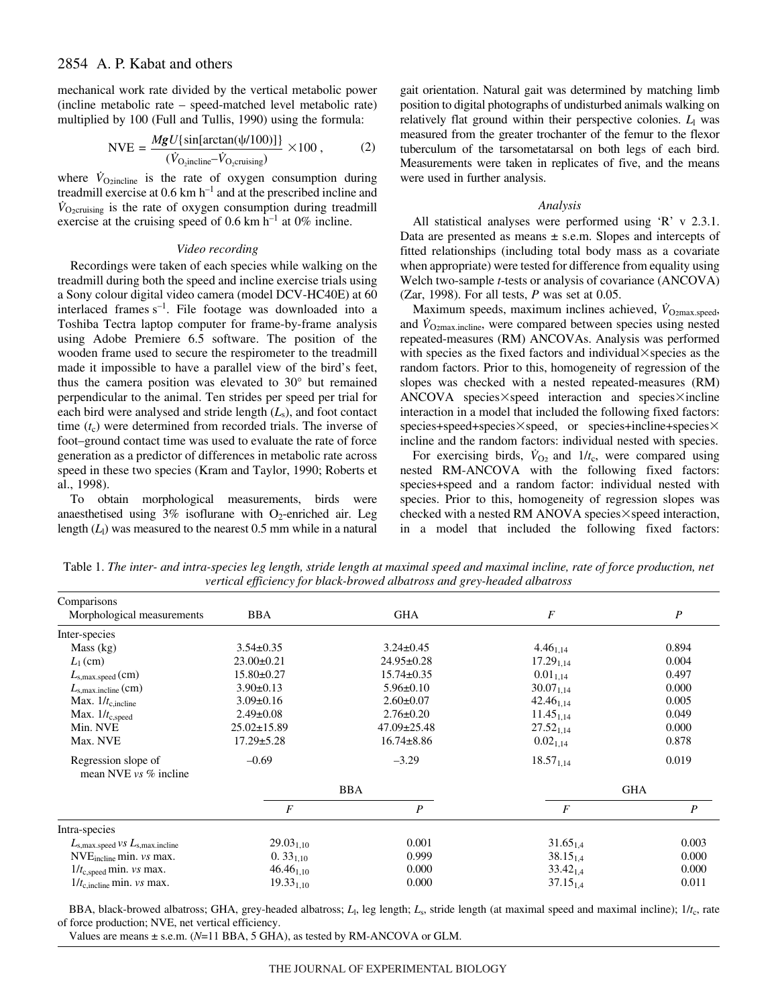# 2854 A. P. Kabat and others

mechanical work rate divided by the vertical metabolic power (incline metabolic rate – speed-matched level metabolic rate) multiplied by 100 (Full and Tullis, 1990) using the formula:

$$
NVE = \frac{MgU\{\sin[\arctan(\psi/100)]\}}{(V_{\text{O}_2}\text{incline}-V_{\text{O}_2}\text{crusing})} \times 100 ,\qquad (2)
$$

where  $\dot{V}_{\text{Ozincline}}$  is the rate of oxygen consumption during treadmill exercise at  $0.6~km h^{-1}$  and at the prescribed incline and  $\dot{V}_{O_2 \text{cruising}}$  is the rate of oxygen consumption during treadmill exercise at the cruising speed of 0.6 km  $h^{-1}$  at 0% incline.

# *Video recording*

Recordings were taken of each species while walking on the treadmill during both the speed and incline exercise trials using a Sony colour digital video camera (model DCV-HC40E) at 60 interlaced frames  $s^{-1}$ . File footage was downloaded into a Toshiba Tectra laptop computer for frame-by-frame analysis using Adobe Premiere 6.5 software. The position of the wooden frame used to secure the respirometer to the treadmill made it impossible to have a parallel view of the bird's feet, thus the camera position was elevated to 30° but remained perpendicular to the animal. Ten strides per speed per trial for each bird were analysed and stride length (*L*s), and foot contact time  $(t_c)$  were determined from recorded trials. The inverse of foot–ground contact time was used to evaluate the rate of force generation as a predictor of differences in metabolic rate across speed in these two species (Kram and Taylor, 1990; Roberts et al., 1998).

To obtain morphological measurements, birds were anaesthetised using  $3\%$  isoflurane with O<sub>2</sub>-enriched air. Leg length  $(L<sub>1</sub>)$  was measured to the nearest 0.5 mm while in a natural gait orientation. Natural gait was determined by matching limb position to digital photographs of undisturbed animals walking on relatively flat ground within their perspective colonies.  $L_1$  was measured from the greater trochanter of the femur to the flexor tuberculum of the tarsometatarsal on both legs of each bird. Measurements were taken in replicates of five, and the means were used in further analysis.

#### *Analysis*

All statistical analyses were performed using 'R' v 2.3.1. Data are presented as means  $\pm$  s.e.m. Slopes and intercepts of fitted relationships (including total body mass as a covariate when appropriate) were tested for difference from equality using Welch two-sample *t*-tests or analysis of covariance (ANCOVA) (Zar, 1998). For all tests, *P* was set at 0.05.

Maximum speeds, maximum inclines achieved,  $\dot{V}_{\text{O}2\text{max},\text{speed}}$ , and *V*<sub>O2max.incline</sub>, were compared between species using nested repeated-measures (RM) ANCOVAs. Analysis was performed with species as the fixed factors and individual  $\times$  species as the random factors. Prior to this, homogeneity of regression of the slopes was checked with a nested repeated-measures (RM) ANCOVA species $\times$ speed interaction and species $\times$ incline interaction in a model that included the following fixed factors:  $species+speed+species\times speed, or species+ incline+species\times$ incline and the random factors: individual nested with species.

For exercising birds,  $V_{\text{O}_2}$  and  $1/t_c$ , were compared using nested RM-ANCOVA with the following fixed factors: species+speed and a random factor: individual nested with species. Prior to this, homogeneity of regression slopes was checked with a nested RM ANOVA species $\times$ speed interaction, in a model that included the following fixed factors:

Table 1. The inter- and intra-species leg length, stride length at maximal speed and maximal incline, rate of force production, net *vertical efficiency for black-browed albatross and grey-headed albatross*

| Comparisons                                        |                   |                   |                  |                  |
|----------------------------------------------------|-------------------|-------------------|------------------|------------------|
| Morphological measurements                         | <b>BBA</b>        | <b>GHA</b>        | $\boldsymbol{F}$ | $\boldsymbol{P}$ |
| Inter-species                                      |                   |                   |                  |                  |
| Mass (kg)                                          | $3.54 \pm 0.35$   | $3.24 \pm 0.45$   | $4.46_{1.14}$    | 0.894            |
| $L_1$ (cm)                                         | $23.00 \pm 0.21$  | $24.95 \pm 0.28$  | $17.29_{1,14}$   | 0.004            |
| $L_{\rm s,max, speed}$ (cm)                        | $15.80 \pm 0.27$  | $15.74 \pm 0.35$  | $0.01_{1,14}$    | 0.497            |
| $L_{\rm s,max.incline}$ (cm)                       | $3.90 \pm 0.13$   | $5.96 \pm 0.10$   | $30.07_{1,14}$   | 0.000            |
| Max. $1/t_{c,incline}$                             | $3.09 \pm 0.16$   | $2.60 \pm 0.07$   | $42.46_{1.14}$   | 0.005            |
| Max. $1/t_{c,speed}$                               | $2.49 \pm 0.08$   | $2.76 \pm 0.20$   | $11.45_{1,14}$   | 0.049            |
| Min. NVE                                           | $25.02 \pm 15.89$ | $47.09 \pm 25.48$ | $27.52_{1.14}$   | 0.000            |
| Max. NVE                                           | $17.29 \pm 5.28$  | $16.74 \pm 8.86$  | $0.02_{1,14}$    | 0.878            |
| Regression slope of<br>mean NVE $vs$ % incline     | $-0.69$           | $-3.29$           | $18.57_{1,14}$   | 0.019            |
|                                                    |                   | <b>BBA</b>        |                  | <b>GHA</b>       |
|                                                    | $\boldsymbol{F}$  | $\boldsymbol{P}$  | $\boldsymbol{F}$ | $\boldsymbol{P}$ |
| Intra-species                                      |                   |                   |                  |                  |
| $L_{\rm s,max, speed}$ vs $L_{\rm s,max, incline}$ | $29.03_{1,10}$    | 0.001             | $31.65_{1.4}$    | 0.003            |
| $NVEincline min. vs max.$                          | $0.33_{1,10}$     | 0.999             | $38.15_{1.4}$    | 0.000            |
| $1/t_{c,speed}$ min. vs max.                       | $46.46_{1,10}$    | 0.000             | $33.42_{1,4}$    | 0.000            |
| $1/t_{\rm c, incline}$ min. vs max.                | $19.33_{1,10}$    | 0.000             | $37.15_{1,4}$    | 0.011            |

BBA, black-browed albatross; GHA, grey-headed albatross; *L*l, leg length; *L*s, stride length (at maximal speed and maximal incline); 1/*t*c, rate of force production; NVE, net vertical efficiency.

Values are means ± s.e.m. (*N*=11 BBA, 5 GHA), as tested by RM-ANCOVA or GLM.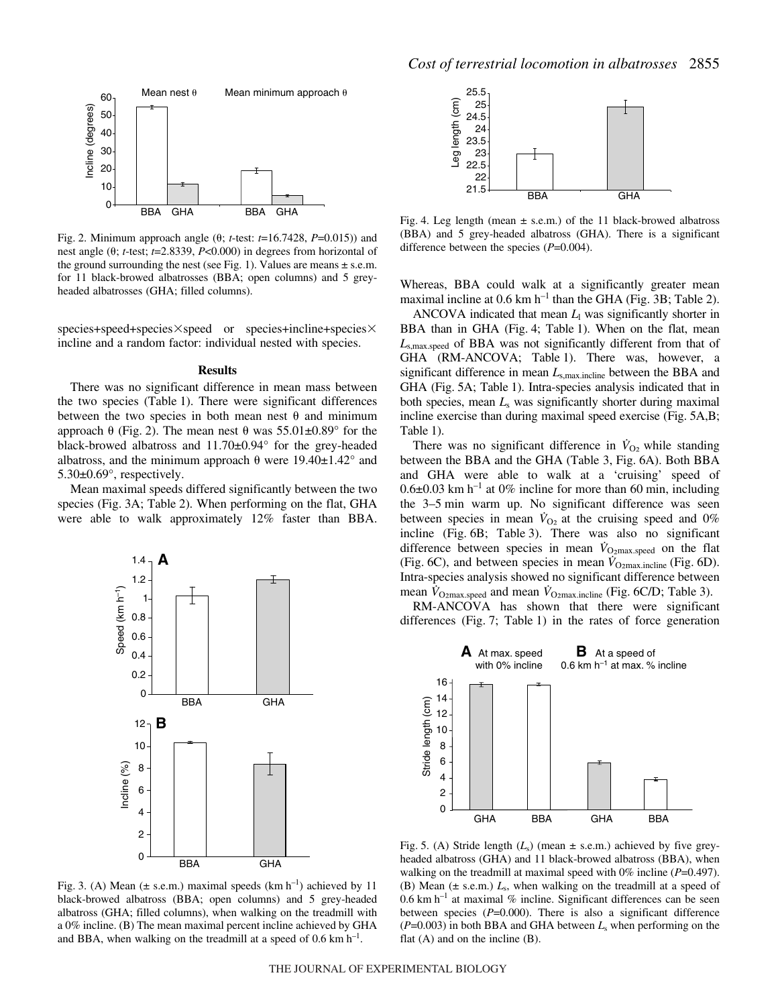

Fig. 2. Minimum approach angle  $(\theta; t\text{-test: } t=16.7428, P=0.015)$  and nest angle ( $\theta$ ; *t*-test; *t*=2.8339, *P*<0.000) in degrees from horizontal of the ground surrounding the nest (see Fig. 1). Values are means  $\pm$  s.e.m. for 11 black-browed albatrosses (BBA; open columns) and 5 greyheaded albatrosses (GHA; filled columns).

species+speed+species×speed or species+incline+species× incline and a random factor: individual nested with species.

#### **Results**

There was no significant difference in mean mass between the two species (Table 1). There were significant differences between the two species in both mean nest  $\theta$  and minimum approach  $\theta$  (Fig. 2). The mean nest  $\theta$  was 55.01 $\pm$ 0.89° for the black-browed albatross and 11.70±0.94° for the grey-headed albatross, and the minimum approach  $\theta$  were 19.40 $\pm$ 1.42° and 5.30±0.69°, respectively.

Mean maximal speeds differed significantly between the two species (Fig. 3A; Table 2). When performing on the flat, GHA were able to walk approximately 12% faster than BBA.



Fig. 3. (A) Mean ( $\pm$  s.e.m.) maximal speeds (km h<sup>-1</sup>) achieved by 11 black-browed albatross (BBA; open columns) and 5 grey-headed albatross (GHA; filled columns), when walking on the treadmill with a 0% incline. (B) The mean maximal percent incline achieved by GHA and BBA, when walking on the treadmill at a speed of  $0.6 \text{ km h}^{-1}$ .



Fig. 4. Leg length (mean  $\pm$  s.e.m.) of the 11 black-browed albatross (BBA) and 5 grey-headed albatross (GHA). There is a significant difference between the species (*P*=0.004).

Whereas, BBA could walk at a significantly greater mean maximal incline at 0.6 km  $h^{-1}$  than the GHA (Fig. 3B; Table 2).

ANCOVA indicated that mean  $L<sub>1</sub>$  was significantly shorter in BBA than in GHA (Fig. 4; Table 1). When on the flat, mean *L*s,max.speed of BBA was not significantly different from that of GHA (RM-ANCOVA; Table 1). There was, however, a significant difference in mean *L*s,max.incline between the BBA and GHA (Fig. 5A; Table 1). Intra-species analysis indicated that in both species, mean *L*<sup>s</sup> was significantly shorter during maximal incline exercise than during maximal speed exercise (Fig. 5A,B; Table 1).

There was no significant difference in  $\dot{V}_{O_2}$  while standing between the BBA and the GHA (Table 3, Fig. 6A). Both BBA and GHA were able to walk at a 'cruising' speed of  $0.6\pm0.03$  km h<sup>-1</sup> at 0% incline for more than 60 min, including the 3–5 min warm up. No significant difference was seen between species in mean  $V_{\text{O}_2}$  at the cruising speed and 0% incline (Fig. 6B; Table 3). There was also no significant difference between species in mean  $\dot{V}_{\text{O2max.speed}}$  on the flat (Fig. 6C), and between species in mean  $\dot{V}_{\text{O2max.incline}}$  (Fig. 6D). Intra-species analysis showed no significant difference between mean  $\dot{V}_{\text{O2max.speed}}$  and mean  $\dot{V}_{\text{O2max.incline}}$  (Fig. 6C/D; Table 3).

RM-ANCOVA has shown that there were significant differences (Fig. 7; Table 1) in the rates of force generation



Fig. 5. (A) Stride length  $(L_s)$  (mean  $\pm$  s.e.m.) achieved by five greyheaded albatross (GHA) and 11 black-browed albatross (BBA), when walking on the treadmill at maximal speed with 0% incline (*P*=0.497). (B) Mean  $(\pm$  s.e.m.)  $L_s$ , when walking on the treadmill at a speed of  $0.6 \text{ km h}^{-1}$  at maximal % incline. Significant differences can be seen between species (*P*=0.000). There is also a significant difference  $(P=0.003)$  in both BBA and GHA between  $L<sub>s</sub>$  when performing on the flat (A) and on the incline (B).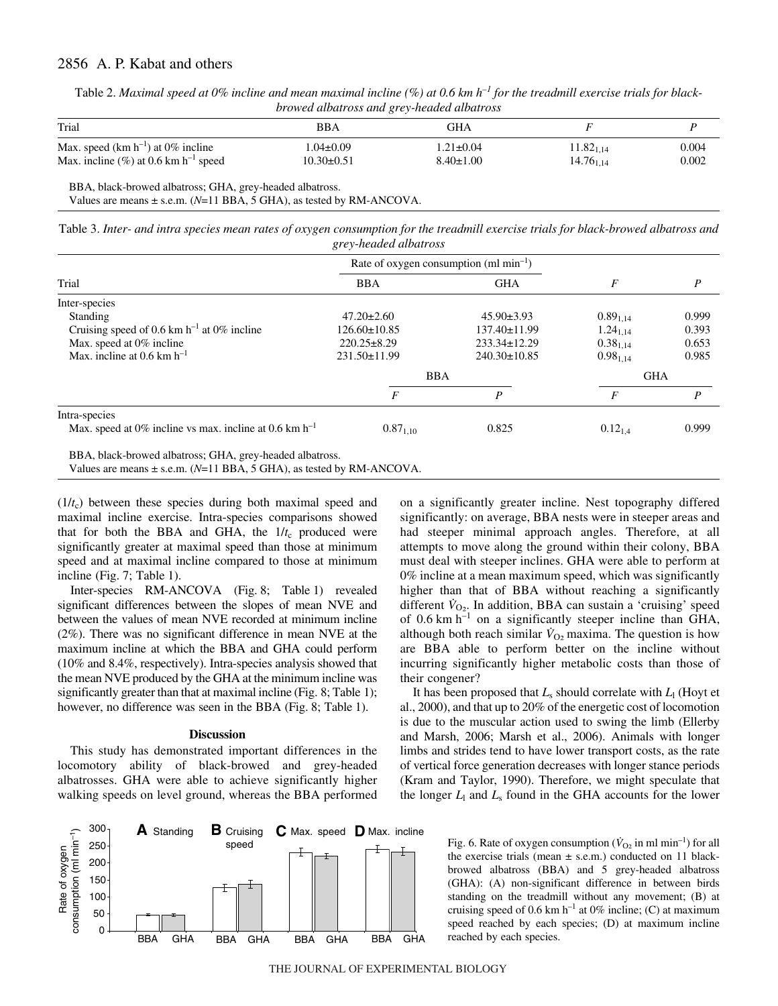# 2856 A. P. Kabat and others

| Table 2. Maximal speed at 0% incline and mean maximal incline (%) at 0.6 km $h^{-1}$ for the treadmill exercise trials for black- |
|-----------------------------------------------------------------------------------------------------------------------------------|
| browed albatross and grey-headed albatross                                                                                        |

| Trial                                                | BBA              | GHA             |                |       |
|------------------------------------------------------|------------------|-----------------|----------------|-------|
| Max. speed $(km h^{-1})$ at 0% incline               | .04±0.09         | $1.21 \pm 0.04$ | $11.82_{1.14}$ | 0.004 |
| Max. incline $(\% )$ at 0.6 km h <sup>-1</sup> speed | $10.30 \pm 0.51$ | $8.40 \pm 1.00$ | $14.76_{1.14}$ | 0.002 |

BBA, black-browed albatross; GHA, grey-headed albatross. Values are means ± s.e.m. (*N*=11 BBA, 5 GHA), as tested by RM-ANCOVA.

Table 3. Inter- and intra species mean rates of oxygen consumption for the treadmill exercise trials for black-browed albatross and *grey-headed albatross*

|                                                                          | Rate of oxygen consumption (ml min <sup>-1</sup> ) |                    |                      |                  |
|--------------------------------------------------------------------------|----------------------------------------------------|--------------------|----------------------|------------------|
| Trial                                                                    | <b>BBA</b>                                         | <b>GHA</b>         | F                    | $\boldsymbol{P}$ |
| Inter-species                                                            |                                                    |                    |                      |                  |
| Standing                                                                 | $47.20 \pm 2.60$                                   | $45.90 \pm 3.93$   | $0.89_{1.14}$        | 0.999            |
| Cruising speed of 0.6 km $h^{-1}$ at 0% incline                          | $126.60 \pm 10.85$                                 | 137.40±11.99       | $1.24_{1.14}$        | 0.393            |
| Max. speed at 0% incline                                                 | $220.25 \pm 8.29$                                  | $233.34 \pm 12.29$ | 0.38 <sub>1.14</sub> | 0.653            |
| Max. incline at 0.6 km $h^{-1}$                                          | $231.50 \pm 11.99$                                 | $240.30 \pm 10.85$ | $0.98_{1.14}$        | 0.985            |
|                                                                          | <b>BBA</b>                                         |                    | <b>GHA</b>           |                  |
|                                                                          | F                                                  | P                  | F                    | P                |
| Intra-species                                                            |                                                    |                    |                      |                  |
| Max. speed at 0% incline vs max. incline at 0.6 km $h^{-1}$              | $0.87_{1,10}$                                      | 0.825              | $0.12_{1.4}$         | 0.999            |
| BBA, black-browed albatross; GHA, grey-headed albatross.                 |                                                    |                    |                      |                  |
| Values are means $\pm$ s.e.m. (N=11 BBA, 5 GHA), as tested by RM-ANCOVA. |                                                    |                    |                      |                  |

 $(1/t_c)$  between these species during both maximal speed and maximal incline exercise. Intra-species comparisons showed that for both the BBA and GHA, the  $1/t_c$  produced were significantly greater at maximal speed than those at minimum speed and at maximal incline compared to those at minimum incline (Fig.  $7$ ; Table 1).

Inter-species RM-ANCOVA (Fig. 8; Table 1) revealed significant differences between the slopes of mean NVE and between the values of mean NVE recorded at minimum incline (2%). There was no significant difference in mean NVE at the maximum incline at which the BBA and GHA could perform (10% and 8.4%, respectively). Intra-species analysis showed that the mean NVE produced by the GHA at the minimum incline was significantly greater than that at maximal incline (Fig.  $8$ ; Table 1); however, no difference was seen in the BBA (Fig. 8; Table 1).

# **Discussion**

This study has demonstrated important differences in the locomotory ability of black-browed and grey-headed albatrosses. GHA were able to achieve significantly higher walking speeds on level ground, whereas the BBA performed on a significantly greater incline. Nest topography differed significantly: on average, BBA nests were in steeper areas and had steeper minimal approach angles. Therefore, at all attempts to move along the ground within their colony, BBA must deal with steeper inclines. GHA were able to perform at 0% incline at a mean maximum speed, which was significantly higher than that of BBA without reaching a significantly different  $\dot{V}_{O_2}$ . In addition, BBA can sustain a 'cruising' speed of  $0.6 \text{ km h}^{-1}$  on a significantly steeper incline than GHA, although both reach similar  $\dot{V}_{\text{O}_2}$  maxima. The question is how are BBA able to perform better on the incline without incurring significantly higher metabolic costs than those of their congener?

It has been proposed that  $L_s$  should correlate with  $L_l$  (Hoyt et al., 2000), and that up to 20% of the energetic cost of locomotion is due to the muscular action used to swing the limb (Ellerby and Marsh, 2006; Marsh et al., 2006). Animals with longer limbs and strides tend to have lower transport costs, as the rate of vertical force generation decreases with longer stance periods (Kram and Taylor, 1990). Therefore, we might speculate that the longer  $L_1$  and  $L_s$  found in the GHA accounts for the lower



Fig. 6. Rate of oxygen consumption ( $\dot{V}_{O2}$  in ml min<sup>-1</sup>) for all the exercise trials (mean  $\pm$  s.e.m.) conducted on 11 blackbrowed albatross (BBA) and 5 grey-headed albatross (GHA): (A) non-significant difference in between birds standing on the treadmill without any movement; (B) at cruising speed of 0.6 km h<sup>-1</sup> at 0% incline; (C) at maximum speed reached by each species; (D) at maximum incline reached by each species.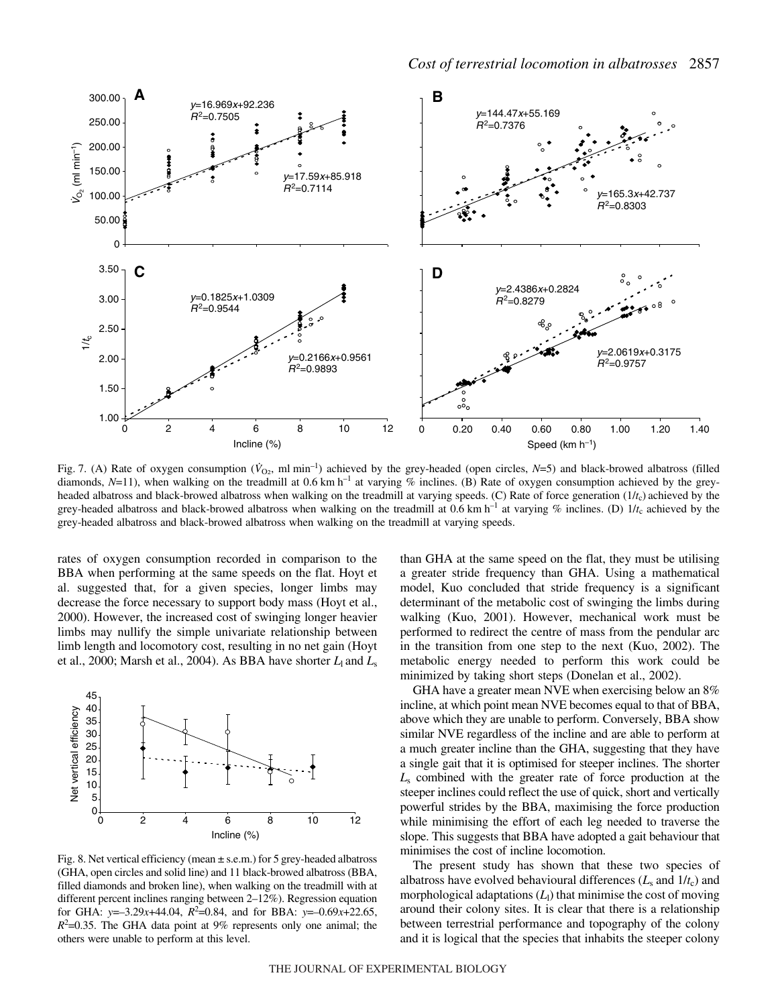

Fig. 7. (A) Rate of oxygen consumption ( $\dot{V}_{\Omega_2}$ , ml min<sup>-1</sup>) achieved by the grey-headed (open circles, *N*=5) and black-browed albatross (filled diamonds,  $N=11$ ), when walking on the treadmill at 0.6 km h<sup>-1</sup> at varying % inclines. (B) Rate of oxygen consumption achieved by the greyheaded albatross and black-browed albatross when walking on the treadmill at varying speeds. (C) Rate of force generation (1/*t*c) achieved by the grey-headed albatross and black-browed albatross when walking on the treadmill at 0.6 km  $h^{-1}$  at varying % inclines. (D)  $1/t_c$  achieved by the grey-headed albatross and black-browed albatross when walking on the treadmill at varying speeds.

rates of oxygen consumption recorded in comparison to the BBA when performing at the same speeds on the flat. Hoyt et al. suggested that, for a given species, longer limbs may decrease the force necessary to support body mass (Hoyt et al., 2000). However, the increased cost of swinging longer heavier limbs may nullify the simple univariate relationship between limb length and locomotory cost, resulting in no net gain (Hoyt et al., 2000; Marsh et al., 2004). As BBA have shorter  $L_1$  and  $L_s$ 



Fig. 8. Net vertical efficiency (mean  $\pm$  s.e.m.) for 5 grey-headed albatross (GHA, open circles and solid line) and 11 black-browed albatross (BBA, filled diamonds and broken line), when walking on the treadmill with at different percent inclines ranging between 2–12%). Regression equation for GHA:  $y=-3.29x+44.04$ ,  $R^2=0.84$ , and for BBA:  $y=-0.69x+22.65$ ,  $R^2$ =0.35. The GHA data point at 9% represents only one animal; the others were unable to perform at this level.

than GHA at the same speed on the flat, they must be utilising a greater stride frequency than GHA. Using a mathematical model, Kuo concluded that stride frequency is a significant determinant of the metabolic cost of swinging the limbs during walking (Kuo, 2001). However, mechanical work must be performed to redirect the centre of mass from the pendular arc in the transition from one step to the next (Kuo, 2002). The metabolic energy needed to perform this work could be minimized by taking short steps (Donelan et al., 2002).

GHA have a greater mean NVE when exercising below an 8% incline, at which point mean NVE becomes equal to that of BBA, above which they are unable to perform. Conversely, BBA show similar NVE regardless of the incline and are able to perform at a much greater incline than the GHA, suggesting that they have a single gait that it is optimised for steeper inclines. The shorter *L*<sup>s</sup> combined with the greater rate of force production at the steeper inclines could reflect the use of quick, short and vertically powerful strides by the BBA, maximising the force production while minimising the effort of each leg needed to traverse the slope. This suggests that BBA have adopted a gait behaviour that minimises the cost of incline locomotion.

The present study has shown that these two species of albatross have evolved behavioural differences  $(L_s \text{ and } 1/t_c)$  and morphological adaptations  $(L<sub>1</sub>)$  that minimise the cost of moving around their colony sites. It is clear that there is a relationship between terrestrial performance and topography of the colony and it is logical that the species that inhabits the steeper colony